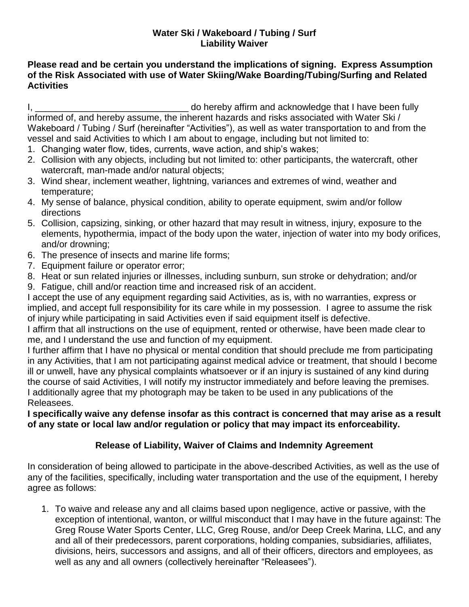## **Water Ski / Wakeboard / Tubing / Surf Liability Waiver**

## **Please read and be certain you understand the implications of signing. Express Assumption of the Risk Associated with use of Water Skiing/Wake Boarding/Tubing/Surfing and Related Activities**

I, the contract of the contract of the contract of the contract of the contract of the contract of the contract of the contract of the contract of the contract of the contract of the contract of the contract of the contrac informed of, and hereby assume, the inherent hazards and risks associated with Water Ski / Wakeboard / Tubing / Surf (hereinafter "Activities"), as well as water transportation to and from the vessel and said Activities to which I am about to engage, including but not limited to:

- 1. Changing water flow, tides, currents, wave action, and ship's wakes;
- 2. Collision with any objects, including but not limited to: other participants, the watercraft, other watercraft, man-made and/or natural objects;
- 3. Wind shear, inclement weather, lightning, variances and extremes of wind, weather and temperature;
- 4. My sense of balance, physical condition, ability to operate equipment, swim and/or follow directions
- 5. Collision, capsizing, sinking, or other hazard that may result in witness, injury, exposure to the elements, hypothermia, impact of the body upon the water, injection of water into my body orifices, and/or drowning;
- 6. The presence of insects and marine life forms;
- 7. Equipment failure or operator error;
- 8. Heat or sun related injuries or illnesses, including sunburn, sun stroke or dehydration; and/or
- 9. Fatigue, chill and/or reaction time and increased risk of an accident.

I accept the use of any equipment regarding said Activities, as is, with no warranties, express or implied, and accept full responsibility for its care while in my possession. I agree to assume the risk of injury while participating in said Activities even if said equipment itself is defective.

I affirm that all instructions on the use of equipment, rented or otherwise, have been made clear to me, and I understand the use and function of my equipment.

I further affirm that I have no physical or mental condition that should preclude me from participating in any Activities, that I am not participating against medical advice or treatment, that should I become ill or unwell, have any physical complaints whatsoever or if an injury is sustained of any kind during the course of said Activities, I will notify my instructor immediately and before leaving the premises. I additionally agree that my photograph may be taken to be used in any publications of the Releasees.

## **I specifically waive any defense insofar as this contract is concerned that may arise as a result of any state or local law and/or regulation or policy that may impact its enforceability.**

## **Release of Liability, Waiver of Claims and Indemnity Agreement**

In consideration of being allowed to participate in the above-described Activities, as well as the use of any of the facilities, specifically, including water transportation and the use of the equipment, I hereby agree as follows:

1. To waive and release any and all claims based upon negligence, active or passive, with the exception of intentional, wanton, or willful misconduct that I may have in the future against: The Greg Rouse Water Sports Center, LLC, Greg Rouse, and/or Deep Creek Marina, LLC, and any and all of their predecessors, parent corporations, holding companies, subsidiaries, affiliates, divisions, heirs, successors and assigns, and all of their officers, directors and employees, as well as any and all owners (collectively hereinafter "Releasees").